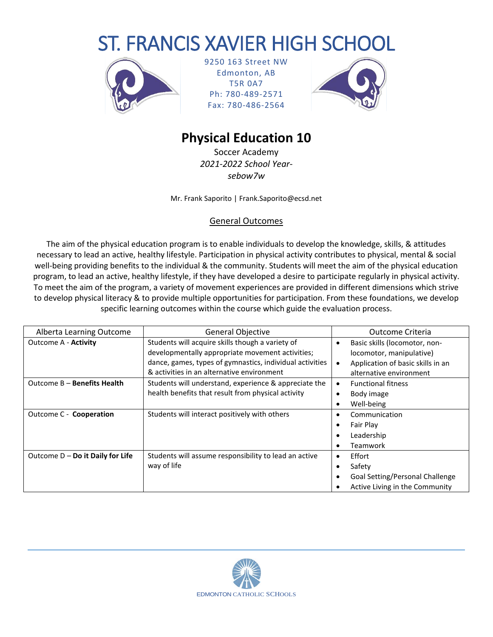# ST. FRANCIS XAVIER HIGH SCHOOL



9250 163 Street NW Edmonton, AB T5R 0A7 Ph: 780-489-2571 Fax: 780-486-2564



## **Physical Education 10**

Soccer Academy *2021-2022 School Yearsebow7w*

Mr. Frank Saporito | Frank.Saporito@ecsd.net

#### General Outcomes

The aim of the physical education program is to enable individuals to develop the knowledge, skills, & attitudes necessary to lead an active, healthy lifestyle. Participation in physical activity contributes to physical, mental & social well-being providing benefits to the individual & the community. Students will meet the aim of the physical education program, to lead an active, healthy lifestyle, if they have developed a desire to participate regularly in physical activity. To meet the aim of the program, a variety of movement experiences are provided in different dimensions which strive to develop physical literacy & to provide multiple opportunities for participation. From these foundations, we develop specific learning outcomes within the course which guide the evaluation process.

| Alberta Learning Outcome           | <b>General Objective</b>                                 |           | Outcome Criteria                  |  |
|------------------------------------|----------------------------------------------------------|-----------|-----------------------------------|--|
| <b>Outcome A - Activity</b>        | Students will acquire skills though a variety of         | ٠         | Basic skills (locomotor, non-     |  |
|                                    | developmentally appropriate movement activities;         |           | locomotor, manipulative)          |  |
|                                    | dance, games, types of gymnastics, individual activities |           | Application of basic skills in an |  |
|                                    | & activities in an alternative environment               |           | alternative environment           |  |
| Outcome B - Benefits Health        | Students will understand, experience & appreciate the    | $\bullet$ | <b>Functional fitness</b>         |  |
|                                    | health benefits that result from physical activity       |           | Body image                        |  |
|                                    |                                                          |           | Well-being                        |  |
| Outcome C - Cooperation            | Students will interact positively with others            | ٠         | Communication                     |  |
|                                    |                                                          |           | Fair Play                         |  |
|                                    |                                                          |           | Leadership                        |  |
|                                    |                                                          |           | Teamwork                          |  |
| Outcome $D - Do$ it Daily for Life | Students will assume responsibility to lead an active    | ٠         | Effort                            |  |
|                                    | way of life                                              |           | Safety                            |  |
|                                    |                                                          |           | Goal Setting/Personal Challenge   |  |
|                                    |                                                          |           | Active Living in the Community    |  |